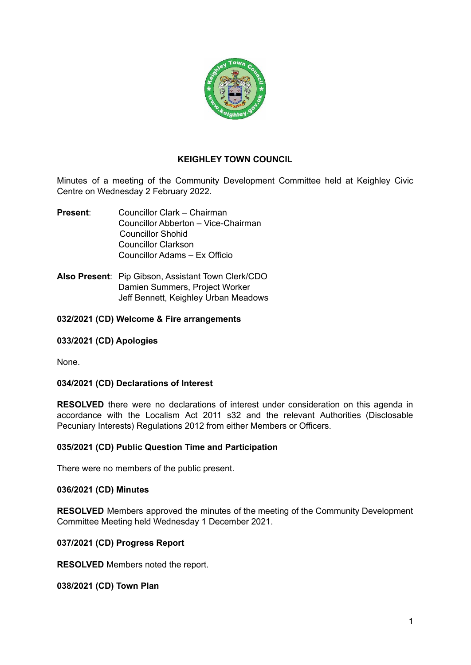

# **KEIGHLEY TOWN COUNCIL**

Minutes of a meeting of the Community Development Committee held at Keighley Civic Centre on Wednesday 2 February 2022.

- **Present**: Councillor Clark Chairman Councillor Abberton – Vice-Chairman Councillor Shohid Councillor Clarkson Councillor Adams – Ex Officio
- **Also Present**: Pip Gibson, Assistant Town Clerk/CDO Damien Summers, Project Worker Jeff Bennett, Keighley Urban Meadows

## **032/2021 (CD) Welcome & Fire arrangements**

## **033/2021 (CD) Apologies**

None.

## **034/2021 (CD) Declarations of Interest**

**RESOLVED** there were no declarations of interest under consideration on this agenda in accordance with the Localism Act 2011 s32 and the relevant Authorities (Disclosable Pecuniary Interests) Regulations 2012 from either Members or Officers.

#### **035/2021 (CD) Public Question Time and Participation**

There were no members of the public present.

#### **036/2021 (CD) Minutes**

**RESOLVED** Members approved the minutes of the meeting of the Community Development Committee Meeting held Wednesday 1 December 2021.

## **037/2021 (CD) Progress Report**

**RESOLVED** Members noted the report.

#### **038/2021 (CD) Town Plan**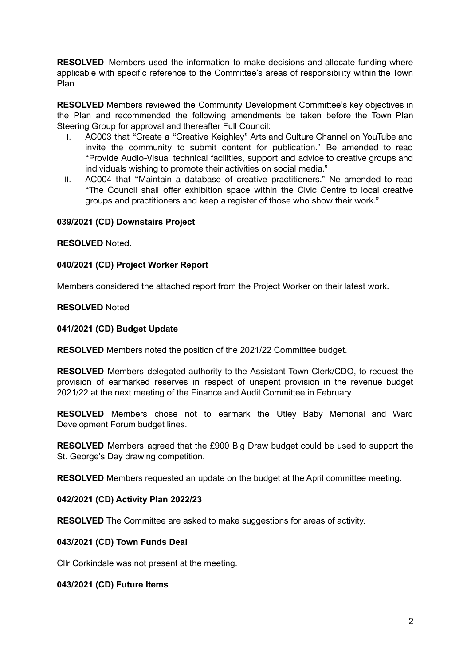**RESOLVED** Members used the information to make decisions and allocate funding where applicable with specific reference to the Committee's areas of responsibility within the Town Plan.

**RESOLVED** Members reviewed the Community Development Committee's key objectives in the Plan and recommended the following amendments be taken before the Town Plan Steering Group for approval and thereafter Full Council:

- I. AC003 that "Create a "Creative Keighley" Arts and Culture Channel on YouTube and invite the community to submit content for publication." Be amended to read "Provide Audio-Visual technical facilities, support and advice to creative groups and individuals wishing to promote their activities on social media."
- II. AC004 that "Maintain a database of creative practitioners." Ne amended to read "The Council shall offer exhibition space within the Civic Centre to local creative groups and practitioners and keep a register of those who show their work."

## **039/2021 (CD) Downstairs Project**

## **RESOLVED** Noted.

## **040/2021 (CD) Project Worker Report**

Members considered the attached report from the Project Worker on their latest work.

#### **RESOLVED** Noted

#### **041/2021 (CD) Budget Update**

**RESOLVED** Members noted the position of the 2021/22 Committee budget.

**RESOLVED** Members delegated authority to the Assistant Town Clerk/CDO, to request the provision of earmarked reserves in respect of unspent provision in the revenue budget 2021/22 at the next meeting of the Finance and Audit Committee in February.

**RESOLVED** Members chose not to earmark the Utley Baby Memorial and Ward Development Forum budget lines.

**RESOLVED** Members agreed that the £900 Big Draw budget could be used to support the St. George's Day drawing competition.

**RESOLVED** Members requested an update on the budget at the April committee meeting.

## **042/2021 (CD) Activity Plan 2022/23**

**RESOLVED** The Committee are asked to make suggestions for areas of activity.

## **043/2021 (CD) Town Funds Deal**

Cllr Corkindale was not present at the meeting.

#### **043/2021 (CD) Future Items**